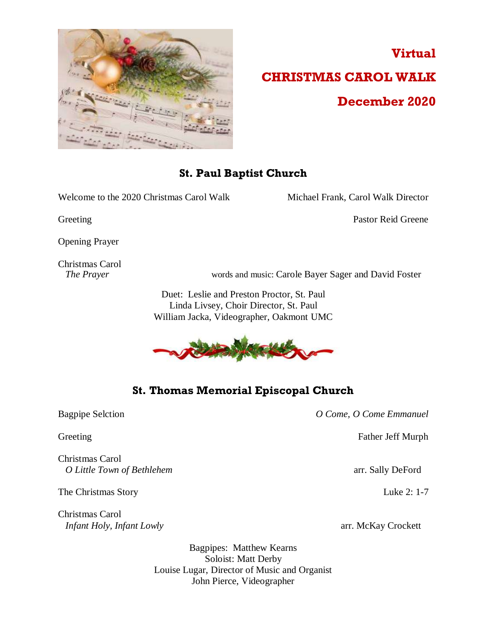

# **Virtual CHRISTMAS CAROL WALK December 2020**

## **St. Paul Baptist Church**

Welcome to the 2020 Christmas Carol Walk Michael Frank, Carol Walk Director

Greeting Pastor Reid Greene

Opening Prayer

Christmas Carol

*The Prayer* words and music: Carole Bayer Sager and David Foster

Duet: Leslie and Preston Proctor, St. Paul Linda Livsey, Choir Director, St. Paul William Jacka, Videographer, Oakmont UMC



## **St. Thomas Memorial Episcopal Church**

Christmas Carol *O Little Town of Bethlehem* arr. Sally DeFord

The Christmas Story Luke 2: 1-7

Christmas Carol *Infant Holy, Infant Lowly* arr. McKay Crockett

Bagpipe Selction *O Come, O Come Emmanuel*

Greeting Father Jeff Murph

Bagpipes: Matthew Kearns Soloist: Matt Derby Louise Lugar, Director of Music and Organist John Pierce, Videographer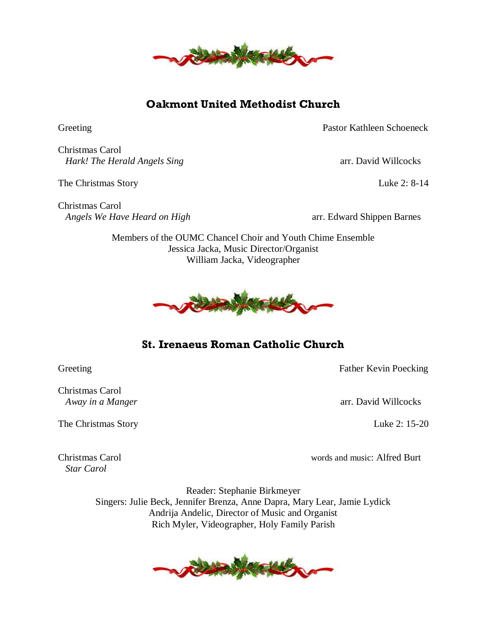

# **Oakmont United Methodist Church**

Greeting Pastor Kathleen Schoeneck

Christmas Carol *Hark! The Herald Angels Sing* arr. David Willcocks

The Christmas Story Luke 2: 8-14

Christmas Carol *Angels We Have Heard on High* arr. Edward Shippen Barnes

Members of the OUMC Chancel Choir and Youth Chime Ensemble Jessica Jacka, Music Director/Organist William Jacka, Videographer



# **St. Irenaeus Roman Catholic Church**

Greeting Father Kevin Poecking

*Away in a Manger* arr. David Willcocks

Christmas Carol words and music: Alfred Burt

Reader: Stephanie Birkmeyer Singers: Julie Beck, Jennifer Brenza, Anne Dapra, Mary Lear, Jamie Lydick Andrija Andelic, Director of Music and Organist Rich Myler, Videographer, Holy Family Parish

**WARRAN** 

Christmas Carol

The Christmas Story Luke 2: 15-20

*Star Carol*